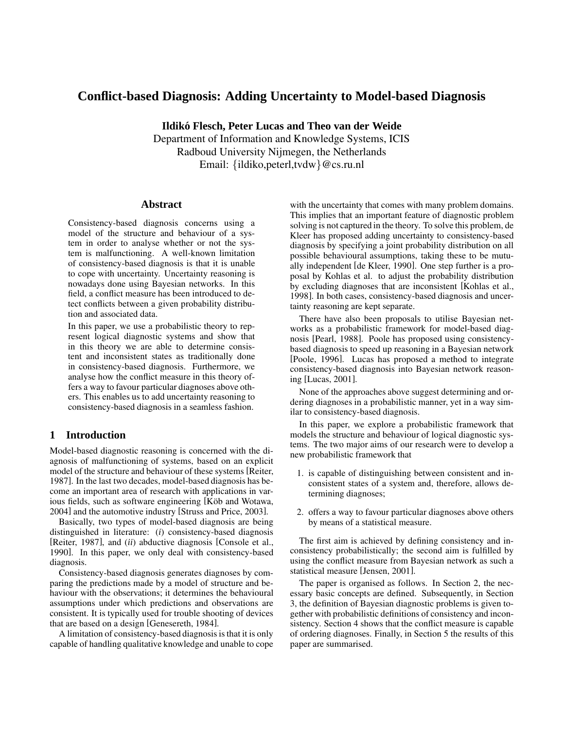# **Conflict-based Diagnosis: Adding Uncertainty to Model-based Diagnosis**

**Ildiko´ Flesch, Peter Lucas and Theo van der Weide**

Department of Information and Knowledge Systems, ICIS Radboud University Nijmegen, the Netherlands Email: {ildiko,peterl,tvdw}@cs.ru.nl

### **Abstract**

Consistency-based diagnosis concerns using a model of the structure and behaviour of a system in order to analyse whether or not the system is malfunctioning. A well-known limitation of consistency-based diagnosis is that it is unable to cope with uncertainty. Uncertainty reasoning is nowadays done using Bayesian networks. In this field, a conflict measure has been introduced to detect conflicts between a given probability distribution and associated data.

In this paper, we use a probabilistic theory to represent logical diagnostic systems and show that in this theory we are able to determine consistent and inconsistent states as traditionally done in consistency-based diagnosis. Furthermore, we analyse how the conflict measure in this theory offers a way to favour particular diagnoses above others. This enables us to add uncertainty reasoning to consistency-based diagnosis in a seamless fashion.

# **1 Introduction**

Model-based diagnostic reasoning is concerned with the diagnosis of malfunctioning of systems, based on an explicit model of the structure and behaviour of these systems [Reiter, 1987]. In the last two decades, model-based diagnosis has become an important area of research with applications in various fields, such as software engineering [Köb and Wotawa, 2004] and the automotive industry [Struss and Price, 2003].

Basically, two types of model-based diagnosis are being distinguished in literature: (*i*) consistency-based diagnosis [Reiter, 1987], and (*ii*) abductive diagnosis [Console et al., 1990]. In this paper, we only deal with consistency-based diagnosis.

Consistency-based diagnosis generates diagnoses by comparing the predictions made by a model of structure and behaviour with the observations; it determines the behavioural assumptions under which predictions and observations are consistent. It is typically used for trouble shooting of devices that are based on a design [Genesereth, 1984].

A limitation of consistency-based diagnosisis that it is only capable of handling qualitative knowledge and unable to cope with the uncertainty that comes with many problem domains. This implies that an important feature of diagnostic problem solving is not captured in the theory. To solve this problem, de Kleer has proposed adding uncertainty to consistency-based diagnosis by specifying a joint probability distribution on all possible behavioural assumptions, taking these to be mutually independent [de Kleer, 1990]. One step further is a proposal by Kohlas et al. to adjust the probability distribution by excluding diagnoses that are inconsistent [Kohlas et al., 1998]. In both cases, consistency-based diagnosis and uncertainty reasoning are kept separate.

There have also been proposals to utilise Bayesian networks as a probabilistic framework for model-based diagnosis [Pearl, 1988]. Poole has proposed using consistencybased diagnosis to speed up reasoning in a Bayesian network [Poole, 1996]. Lucas has proposed a method to integrate consistency-based diagnosis into Bayesian network reasoning [Lucas, 2001].

None of the approaches above suggest determining and ordering diagnoses in a probabilistic manner, yet in a way similar to consistency-based diagnosis.

In this paper, we explore a probabilistic framework that models the structure and behaviour of logical diagnostic systems. The two major aims of our research were to develop a new probabilistic framework that

- 1. is capable of distinguishing between consistent and inconsistent states of a system and, therefore, allows determining diagnoses;
- 2. offers a way to favour particular diagnoses above others by means of a statistical measure.

The first aim is achieved by defining consistency and inconsistency probabilistically; the second aim is fulfilled by using the conflict measure from Bayesian network as such a statistical measure [Jensen, 2001].

The paper is organised as follows. In Section 2, the necessary basic concepts are defined. Subsequently, in Section 3, the definition of Bayesian diagnostic problems is given together with probabilistic definitions of consistency and inconsistency. Section 4 shows that the conflict measure is capable of ordering diagnoses. Finally, in Section 5 the results of this paper are summarised.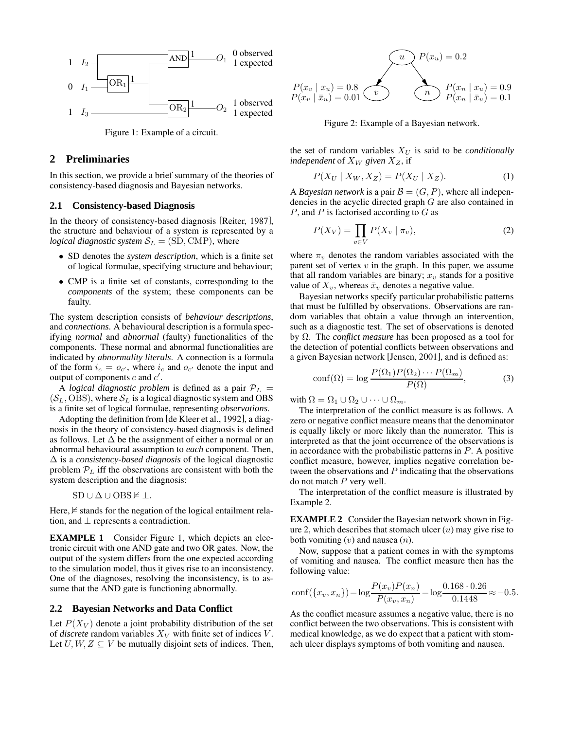

Figure 1: Example of a circuit.

## **2 Preliminaries**

In this section, we provide a brief summary of the theories of consistency-based diagnosis and Bayesian networks.

#### **2.1 Consistency-based Diagnosis**

In the theory of consistency-based diagnosis [Reiter, 1987], the structure and behaviour of a system is represented by a *logical diagnostic system*  $S_L = (SD, CNP)$ , where

- SD denotes the *system description*, which is a finite set of logical formulae, specifying structure and behaviour;
- CMP is a finite set of constants, corresponding to the *components* of the system; these components can be faulty.

The system description consists of *behaviour descriptions*, and *connections*. A behavioural description is a formula specifying *normal* and *abnormal* (faulty) functionalities of the components. These normal and abnormal functionalities are indicated by *abnormality literals*. A connection is a formula of the form  $i_c = o_{c'}$ , where  $i_c$  and  $o_{c'}$  denote the input and output of components  $c$  and  $c'$ .

A *logical diagnostic problem* is defined as a pair  $P_L$  =  $(S_L, OBS)$ , where  $S_L$  is a logical diagnostic system and OBS is a finite set of logical formulae, representing *observations*.

Adopting the definition from [de Kleer et al., 1992], a diagnosis in the theory of consistency-based diagnosis is defined as follows. Let  $\Delta$  be the assignment of either a normal or an abnormal behavioural assumption to *each* component. Then, ∆ is a *consistency-based diagnosis* of the logical diagnostic problem  $P<sub>L</sub>$  iff the observations are consistent with both the system description and the diagnosis:

$$
SD \cup \Delta \cup OBS \nvDash \bot.
$$

Here,  $\not\vDash$  stands for the negation of the logical entailment relation, and  $\perp$  represents a contradiction.

**EXAMPLE 1** Consider Figure 1, which depicts an electronic circuit with one AND gate and two OR gates. Now, the output of the system differs from the one expected according to the simulation model, thus it gives rise to an inconsistency. One of the diagnoses, resolving the inconsistency, is to assume that the AND gate is functioning abnormally.

## **2.2 Bayesian Networks and Data Conflict**

Let  $P(X_V)$  denote a joint probability distribution of the set of *discrete* random variables  $X_V$  with finite set of indices  $V$ . Let  $U, W, Z \subseteq V$  be mutually disjoint sets of indices. Then,



Figure 2: Example of a Bayesian network.

the set of random variables  $X_U$  is said to be *conditionally independent* of  $X_W$  *given*  $X_Z$ , if

$$
P(X_U \mid X_W, X_Z) = P(X_U \mid X_Z). \tag{1}
$$

A *Bayesian network* is a pair  $\mathcal{B} = (G, P)$ , where all independencies in the acyclic directed graph G are also contained in  $P$ , and  $P$  is factorised according to  $G$  as

$$
P(X_V) = \prod_{v \in V} P(X_v \mid \pi_v), \tag{2}
$$

where  $\pi_v$  denotes the random variables associated with the parent set of vertex  $v$  in the graph. In this paper, we assume that all random variables are binary;  $x<sub>v</sub>$  stands for a positive value of  $X_v$ , whereas  $\bar{x}_v$  denotes a negative value.

Bayesian networks specify particular probabilistic patterns that must be fulfilled by observations. Observations are random variables that obtain a value through an intervention, such as a diagnostic test. The set of observations is denoted by Ω. The *conflict measure* has been proposed as a tool for the detection of potential conflicts between observations and a given Bayesian network [Jensen, 2001], and is defined as:

$$
conf(\Omega) = \log \frac{P(\Omega_1)P(\Omega_2)\cdots P(\Omega_m)}{P(\Omega)},
$$
\n(3)

with  $\Omega = \Omega_1 \cup \Omega_2 \cup \cdots \cup \Omega_m$ .

The interpretation of the conflict measure is as follows. A zero or negative conflict measure means that the denominator is equally likely or more likely than the numerator. This is interpreted as that the joint occurrence of the observations is in accordance with the probabilistic patterns in  $P$ . A positive conflict measure, however, implies negative correlation between the observations and  $P$  indicating that the observations do not match  $P$  very well.

The interpretation of the conflict measure is illustrated by Example 2.

**EXAMPLE 2** Consider the Bayesian network shown in Figure 2, which describes that stomach ulcer  $(u)$  may give rise to both vomiting  $(v)$  and nausea  $(n)$ .

Now, suppose that a patient comes in with the symptoms of vomiting and nausea. The conflict measure then has the following value:

$$
conf(\lbrace x_v, x_n \rbrace) = \log \frac{P(x_v)P(x_n)}{P(x_v, x_n)} = \log \frac{0.168 \cdot 0.26}{0.1448} \approx -0.5.
$$

As the conflict measure assumes a negative value, there is no conflict between the two observations. This is consistent with medical knowledge, as we do expect that a patient with stomach ulcer displays symptoms of both vomiting and nausea.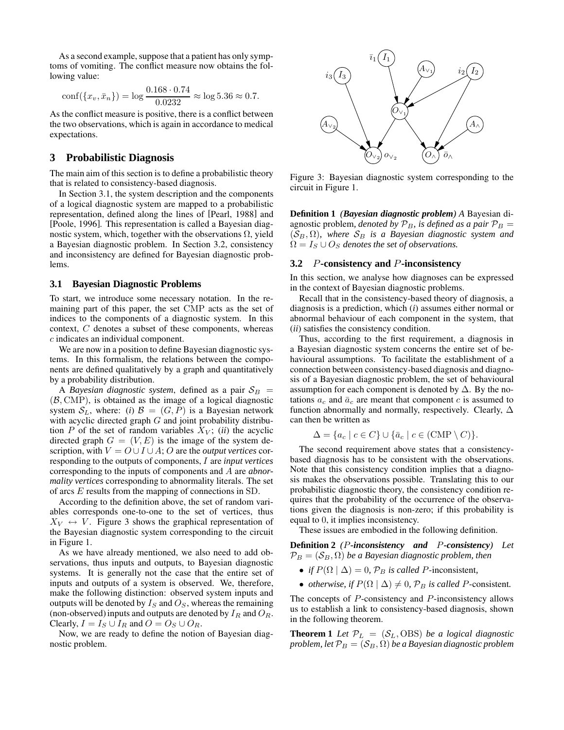As a second example, suppose that a patient has only symptoms of vomiting. The conflict measure now obtains the following value:

$$
conf({x_v, \bar{x}_n}) = \log \frac{0.168 \cdot 0.74}{0.0232} \approx \log 5.36 \approx 0.7.
$$

As the conflict measure is positive, there is a conflict between the two observations, which is again in accordance to medical expectations.

# **3 Probabilistic Diagnosis**

The main aim of this section is to define a probabilistic theory that is related to consistency-based diagnosis.

In Section 3.1, the system description and the components of a logical diagnostic system are mapped to a probabilistic representation, defined along the lines of [Pearl, 1988] and [Poole, 1996]. This representation is called a Bayesian diagnostic system, which, together with the observations  $\Omega$ , yield a Bayesian diagnostic problem. In Section 3.2, consistency and inconsistency are defined for Bayesian diagnostic problems.

#### **3.1 Bayesian Diagnostic Problems**

To start, we introduce some necessary notation. In the remaining part of this paper, the set CMP acts as the set of indices to the components of a diagnostic system. In this context, C denotes a subset of these components, whereas c indicates an individual component.

We are now in a position to define Bayesian diagnostic systems. In this formalism, the relations between the components are defined qualitatively by a graph and quantitatively by a probability distribution.

A *Bayesian diagnostic system*, defined as a pair  $S_B$  =  $(B, \text{CMP})$ , is obtained as the image of a logical diagnostic system  $S_L$ , where: (*i*)  $\mathcal{B} = (G, P)$  is a Bayesian network with acyclic directed graph  $G$  and joint probability distribution  $P$  of the set of random variables  $X_V$ ; *(ii)* the acyclic directed graph  $G = (V, E)$  is the image of the system description, with  $V = O \cup I \cup A$ ; O are the *output vertices* corresponding to the outputs of components, I are *input vertices* corresponding to the inputs of components and A are *abnormality vertices* corresponding to abnormality literals. The set of arcs E results from the mapping of connections in SD.

According to the definition above, the set of random variables corresponds one-to-one to the set of vertices, thus  $X_V \leftrightarrow V$ . Figure 3 shows the graphical representation of the Bayesian diagnostic system corresponding to the circuit in Figure 1.

As we have already mentioned, we also need to add observations, thus inputs and outputs, to Bayesian diagnostic systems. It is generally not the case that the entire set of inputs and outputs of a system is observed. We, therefore, make the following distinction: observed system inputs and outputs will be denoted by  $I_S$  and  $O_S$ , whereas the remaining (non-observed) inputs and outputs are denoted by  $I_R$  and  $O_R$ . Clearly,  $I = I_S \cup I_R$  and  $O = O_S \cup O_R$ .

Now, we are ready to define the notion of Bayesian diagnostic problem.



Figure 3: Bayesian diagnostic system corresponding to the circuit in Figure 1.

**Definition 1** *(Bayesian diagnostic problem) A* Bayesian diagnostic problem, *denoted* by  $P_B$ , *is defined as a pair*  $P_B$  =  $(S_B, \Omega)$ *, where*  $S_B$  *is a Bayesian diagnostic system and*  $\Omega = I_S \cup O_S$  *denotes the set of observations.* 

# **3.2** P**-consistency and** P**-inconsistency**

In this section, we analyse how diagnoses can be expressed in the context of Bayesian diagnostic problems.

Recall that in the consistency-based theory of diagnosis, a diagnosis is a prediction, which (*i*) assumes either normal or abnormal behaviour of each component in the system, that (*ii*) satisfies the consistency condition.

Thus, according to the first requirement, a diagnosis in a Bayesian diagnostic system concerns the entire set of behavioural assumptions. To facilitate the establishment of a connection between consistency-based diagnosis and diagnosis of a Bayesian diagnostic problem, the set of behavioural assumption for each component is denoted by  $\Delta$ . By the notations  $a_c$  and  $\bar{a}_c$  are meant that component c is assumed to function abnormally and normally, respectively. Clearly,  $\Delta$ can then be written as

$$
\Delta = \{a_c \mid c \in C\} \cup \{\bar{a}_c \mid c \in (\text{CMP} \setminus C)\}.
$$

The second requirement above states that a consistencybased diagnosis has to be consistent with the observations. Note that this consistency condition implies that a diagnosis makes the observations possible. Translating this to our probabilistic diagnostic theory, the consistency condition requires that the probability of the occurrence of the observations given the diagnosis is non-zero; if this probability is equal to 0, it implies inconsistency.

These issues are embodied in the following definition.

**Definition 2** *(*P*-inconsistency and* P*-consistency) Let*  $\mathcal{P}_B = (\mathcal{S}_B, \Omega)$  *be a Bayesian diagnostic problem, then* 

- *if*  $P(\Omega | \Delta) = 0$ ,  $P_B$  *is called P*-inconsistent,
- *otherwise, if*  $P(\Omega | \Delta) \neq 0$ ,  $P_B$  *is called P*-consistent.

The concepts of P-consistency and P-inconsistency allows us to establish a link to consistency-based diagnosis, shown in the following theorem.

**Theorem 1** *Let*  $\mathcal{P}_L = (\mathcal{S}_L, \text{OBS})$  *be a logical diagnostic problem, let*  $\mathcal{P}_B = (\mathcal{S}_B, \Omega)$  *be a Bayesian diagnostic problem*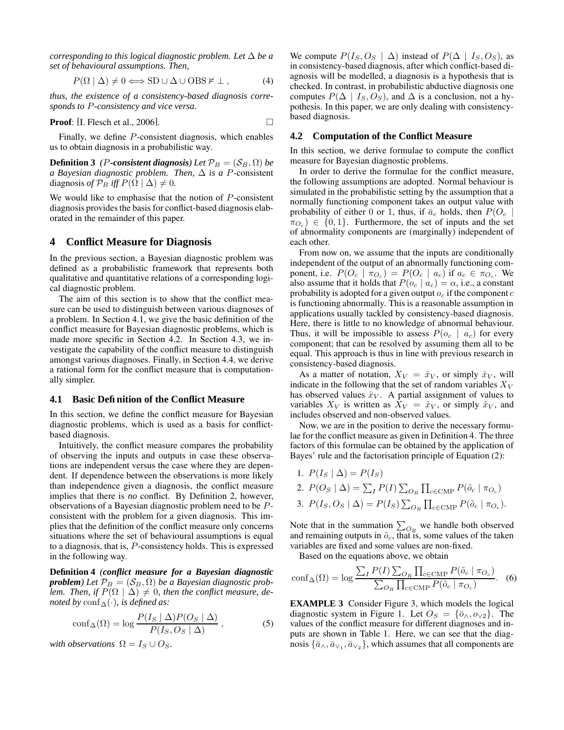*corresponding to this logical diagnostic problem.* Let  $\Delta$  *be a set of behavioural assumptions. Then,*

$$
P(\Omega \mid \Delta) \neq 0 \Longleftrightarrow SD \cup \Delta \cup OBS \nvDash \bot , \tag{4}
$$

*thus, the existence of a consistency-based diagnosis corresponds to* P*-consistency and vice versa.*

**Proof:** [I. Flesch et al., 2006]. 
$$
\Box
$$

Finally, we define P-consistent diagnosis, which enables us to obtain diagnosis in a probabilistic way.

**Definition 3** *(P-consistent diagnosis) Let*  $\mathcal{P}_B = (\mathcal{S}_B, \Omega)$  *be a Bayesian diagnostic problem. Then,*  $\Delta$  *is a P*-consistent diagnosis *of*  $\mathcal{P}_B$  *iff*  $P(\Omega | \Delta) \neq 0$ .

We would like to emphasise that the notion of  $P$ -consistent diagnosis provides the basis for conflict-based diagnosis elaborated in the remainder of this paper.

#### **4 Conflict Measure for Diagnosis**

In the previous section, a Bayesian diagnostic problem was defined as a probabilistic framework that represents both qualitative and quantitative relations of a corresponding logical diagnostic problem.

The aim of this section is to show that the conflict measure can be used to distinguish between various diagnoses of a problem. In Section 4.1, we give the basic definition of the conflict measure for Bayesian diagnostic problems, which is made more specific in Section 4.2. In Section 4.3, we investigate the capability of the conflict measure to distinguish amongst various diagnoses. Finally, in Section 4.4, we derive a rational form for the conflict measure that is computationally simpler.

### **4.1 Basic Definition of the Conflict Measure**

In this section, we define the conflict measure for Bayesian diagnostic problems, which is used as a basis for conflictbased diagnosis.

Intuitively, the conflict measure compares the probability of observing the inputs and outputs in case these observations are independent versus the case where they are dependent. If dependence between the observations is more likely than independence given a diagnosis, the conflict measure implies that there is *no* conflict. By Definition 2, however, observations of a Bayesian diagnostic problem need to be Pconsistent with the problem for a given diagnosis. This implies that the definition of the conflict measure only concerns situations where the set of behavioural assumptions is equal to a diagnosis, that is, P-consistency holds. This is expressed in the following way.

**Definition 4** *(conflict measure for a Bayesian diagnostic problem*) *Let*  $\mathcal{P}_B = (\mathcal{S}_B, \Omega)$  *be a Bayesian diagnostic problem. Then, if*  $P(\Omega | \Delta) \neq 0$ *, then the conflict measure, denoted by*  $\text{conf}_{\Delta}(\cdot)$ *, is defined as:* 

$$
\text{conf}_{\Delta}(\Omega) = \log \frac{P(I_S \mid \Delta) P(O_S \mid \Delta)}{P(I_S, O_S \mid \Delta)}, \tag{5}
$$

*with observations*  $\Omega = I_S \cup O_S$ .

We compute  $P(I_S, O_S | \Delta)$  instead of  $P(\Delta | I_S, O_S)$ , as in consistency-based diagnosis, after which conflict-based diagnosis will be modelled, a diagnosis is a hypothesis that is checked. In contrast, in probabilistic abductive diagnosis one computes  $P(\Delta | I_S, O_S)$ , and  $\Delta$  is a conclusion, not a hypothesis. In this paper, we are only dealing with consistencybased diagnosis.

## **4.2 Computation of the Conflict Measure**

In this section, we derive formulae to compute the conflict measure for Bayesian diagnostic problems.

In order to derive the formulae for the conflict measure, the following assumptions are adopted. Normal behaviour is simulated in the probabilistic setting by the assumption that a normally functioning component takes an output value with probability of either 0 or 1, thus, if  $\bar{a}_c$  holds, then  $P(O_c |$  $\pi_{O_c}$ )  $\in \{0,1\}$ . Furthermore, the set of inputs and the set of abnormality components are (marginally) independent of each other.

From now on, we assume that the inputs are conditionally independent of the output of an abnormally functioning component, i.e.  $P(O_c | \pi_{O_c}) = P(O_c | a_c)$  if  $a_c \in \pi_{O_c}$ . We also assume that it holds that  $P(o_c | a_c) = \alpha$ , i.e., a constant probability is adopted for a given output  $o_c$  if the component c is functioning abnormally. This is a reasonable assumption in applications usually tackled by consistency-based diagnosis. Here, there is little to no knowledge of abnormal behaviour. Thus, it will be impossible to assess  $P(o_c \mid a_c)$  for every component; that can be resolved by assuming them all to be equal. This approach is thus in line with previous research in consistency-based diagnosis.

As a matter of notation,  $X_V = \hat{x}_V$ , or simply  $\hat{x}_V$ , will indicate in the following that the set of random variables  $X_V$ has observed values  $\hat{x}_V$ . A partial assignment of values to variables  $X_V$  is written as  $X_V = \tilde{x}_V$ , or simply  $\tilde{x}_V$ , and includes observed and non-observed values.

Now, we are in the position to derive the necessary formulae for the conflict measure as given in Definition 4. The three factors of this formulae can be obtained by the application of Bayes' rule and the factorisation principle of Equation (2):

- 1.  $P(I_S | \Delta) = P(I_S)$
- 2.  $P(O_S | \Delta) = \sum_I P(I) \sum_{O_R} \prod_{c \in \text{CMP}} P(\tilde{o}_c | \pi_{O_c})$ 3.  $P(I_S, O_S | \Delta) = P(I_S) \sum_{O_R} \prod_{c \in \text{CMP}} P(\tilde{o}_c | \pi_{O_c}).$

Note that in the summation  $\sum_{O_R}$  we handle both observed and remaining outputs in  $\tilde{o}_c$ , that is, some values of the taken variables are fixed and some values are non-fixed.

Based on the equations above, we obtain

$$
\text{conf}_{\Delta}(\Omega) = \log \frac{\sum_{I} P(I) \sum_{O_R} \prod_{c \in \text{CMP}} P(\tilde{o}_c \mid \pi_{O_c})}{\sum_{O_R} \prod_{c \in \text{CMP}} P(\tilde{o}_c \mid \pi_{O_c})}.
$$
 (6)

**EXAMPLE 3** Consider Figure 3, which models the logical diagnostic system in Figure 1. Let  $O_S = \{\bar{o}_{\land}, o_{\lor 2}\}\$ . The values of the conflict measure for different diagnoses and inputs are shown in Table 1. Here, we can see that the diagnosis  $\{\bar{a}_{\wedge}, \bar{a}_{\vee}, \bar{a}_{\vee 2}\}$ , which assumes that all components are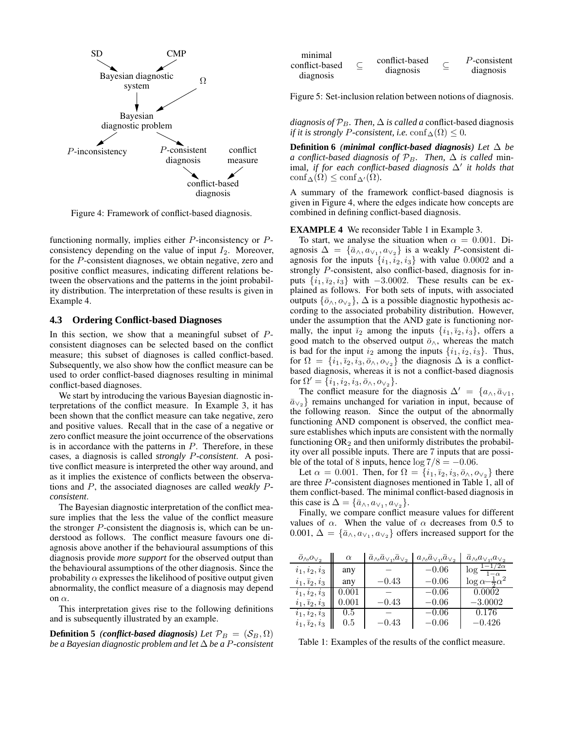

Figure 4: Framework of conflict-based diagnosis.

functioning normally, implies either P-inconsistency or Pconsistency depending on the value of input  $I_2$ . Moreover, for the P-consistent diagnoses, we obtain negative, zero and positive conflict measures, indicating different relations between the observations and the patterns in the joint probability distribution. The interpretation of these results is given in Example 4.

#### **4.3 Ordering Conflict-based Diagnoses**

In this section, we show that a meaningful subset of  $P$ consistent diagnoses can be selected based on the conflict measure; this subset of diagnoses is called conflict-based. Subsequently, we also show how the conflict measure can be used to order conflict-based diagnoses resulting in minimal conflict-based diagnoses.

We start by introducing the various Bayesian diagnostic interpretations of the conflict measure. In Example 3, it has been shown that the conflict measure can take negative, zero and positive values. Recall that in the case of a negative or zero conflict measure the joint occurrence of the observations is in accordance with the patterns in  $P$ . Therefore, in these cases, a diagnosis is called *strongly* P*-consistent*. A positive conflict measure is interpreted the other way around, and as it implies the existence of conflicts between the observations and P, the associated diagnoses are called *weakly* P*consistent*.

The Bayesian diagnostic interpretation of the conflict measure implies that the less the value of the conflict measure the stronger P-consistent the diagnosis is, which can be understood as follows. The conflict measure favours one diagnosis above another if the behavioural assumptions of this diagnosis provide *more support* for the observed output than the behavioural assumptions of the other diagnosis. Since the probability  $\alpha$  expresses the likelihood of positive output given abnormality, the conflict measure of a diagnosis may depend on  $\alpha$ .

This interpretation gives rise to the following definitions and is subsequently illustrated by an example.

**Definition 5** *(conflict-based diagnosis) Let*  $\mathcal{P}_B = (\mathcal{S}_B, \Omega)$ *be a Bayesian diagnostic problem and let* ∆ *be a* P*-consistent*

| minimal<br>conflict-based<br>diagnosis | conflict-based<br>diagnosis | P-consistent<br>diagnosis |
|----------------------------------------|-----------------------------|---------------------------|
|                                        |                             |                           |

Figure 5: Set-inclusion relation between notions of diagnosis.

*diagnosis of*  $\mathcal{P}_B$ *. Then,*  $\Delta$  *is called a* conflict-based diagnosis *if it is strongly P-consistent, i.e.* conf $\Delta(\Omega) \leq 0$ .

**Definition** 6 *(minimal conflict-based diagnosis) Let*  $\Delta$  *be a conflict-based diagnosis of*  $\mathcal{P}_B$ *. Then,*  $\Delta$  *is called* minimal*, if for each conflict-based diagnosis* ∆<sup>0</sup> *it holds that*  $\mathrm{conf}_{\Delta}(\Omega) \leq \mathrm{conf}_{\Delta}(\Omega)$ .

A summary of the framework conflict-based diagnosis is given in Figure 4, where the edges indicate how concepts are combined in defining conflict-based diagnosis.

#### **EXAMPLE 4** We reconsider Table 1 in Example 3.

To start, we analyse the situation when  $\alpha = 0.001$ . Diagnosis  $\Delta = {\bar{a}_{\wedge}, a_{\vee_1}, a_{\vee_2}}$  is a weakly *P*-consistent diagnosis for the inputs  $\{i_1,i_2,i_3\}$  with value 0.0002 and a strongly P-consistent, also conflict-based, diagnosis for inputs  $\{i_1, i_2, i_3\}$  with  $-3.0002$ . These results can be explained as follows. For both sets of inputs, with associated outputs  $\{\bar{o}_{\wedge}, o_{\vee_2}\}, \Delta$  is a possible diagnostic hypothesis according to the associated probability distribution. However, under the assumption that the AND gate is functioning normally, the input  $\bar{i}_2$  among the inputs  $\{i_1, \bar{i}_2, i_3\}$ , offers a good match to the observed output  $\bar{o}$ <sub>∧</sub>, whereas the match is bad for the input  $i_2$  among the inputs  $\{i_1,i_2,i_3\}$ . Thus, for  $\Omega = \{i_1, \overline{i_2}, i_3, \overline{o}_\wedge, o_{\vee_2}\}\$  the diagnosis  $\Delta$  is a conflictbased diagnosis, whereas it is not a conflict-based diagnosis for  $\Omega' = \{i_1, i_2, i_3, \bar{o}_\wedge, o_{\vee_2}\}.$ 

The conflict measure for the diagnosis  $\Delta' = \{a_{\wedge}, \bar{a}_{\vee 1}, \}$  $\bar{a}_{\vee}$ } remains unchanged for variation in input, because of the following reason. Since the output of the abnormally functioning AND component is observed, the conflict measure establishes which inputs are consistent with the normally functioning  $OR_2$  and then uniformly distributes the probability over all possible inputs. There are 7 inputs that are possible of the total of 8 inputs, hence  $\log 7/8 = -0.06$ .

Let  $\alpha = 0.001$ . Then, for  $\Omega = \{i_1, \overline{i}_2, i_3, \overline{o}_\wedge, o_{\vee_2}\}$  there are three P-consistent diagnoses mentioned in Table 1, all of them conflict-based. The minimal conflict-based diagnosis in this case is  $\Delta = {\bar{a}_\wedge, a_{\vee_1}, a_{\vee_2}}.$ 

Finally, we compare conflict measure values for different values of  $\alpha$ . When the value of  $\alpha$  decreases from 0.5 to 0.001,  $\Delta = {\bar{a}_{\wedge}, a_{\vee_1}, a_{\vee_2}}$  offers increased support for the

| $\overline{o}_{\wedge}, o_{\vee_2}$ | $\alpha$    | $a_{\wedge}, a_{\vee}, a_{\vee}$ | $a_{\wedge},\overline{a}_{\vee},\overline{a}_{\vee},$ | $a_{\wedge}, a_{\vee_1}, a_{\vee_2}$ |
|-------------------------------------|-------------|----------------------------------|-------------------------------------------------------|--------------------------------------|
| $i_1, i_2, i_3$                     | any         |                                  | $-0.06$                                               | $\log \frac{1-1/2\alpha}{\alpha}$    |
| $i_1, \overline{i_2}, i_3$          | any         | $-0.43$                          | $-0.06$                                               | $\log \alpha - \frac{1}{2} \alpha^2$ |
| $i_1, i_2, i_3$                     | $\,0.001\,$ |                                  | $-0.06$                                               | 0.0002                               |
| $i_1, i_2, i_3$                     | $\,0.001\,$ | $-0.43$                          | $-0.06$                                               | $-3.0002$                            |
| $i_1, i_2, i_3$                     | 0.5         |                                  | $-0.06$                                               | 0.176                                |
| $i_1, \overline{i}_2, i_3$          | 0.5         | $-0.43$                          | $-0.06$                                               | $-0.426$                             |

Table 1: Examples of the results of the conflict measure.